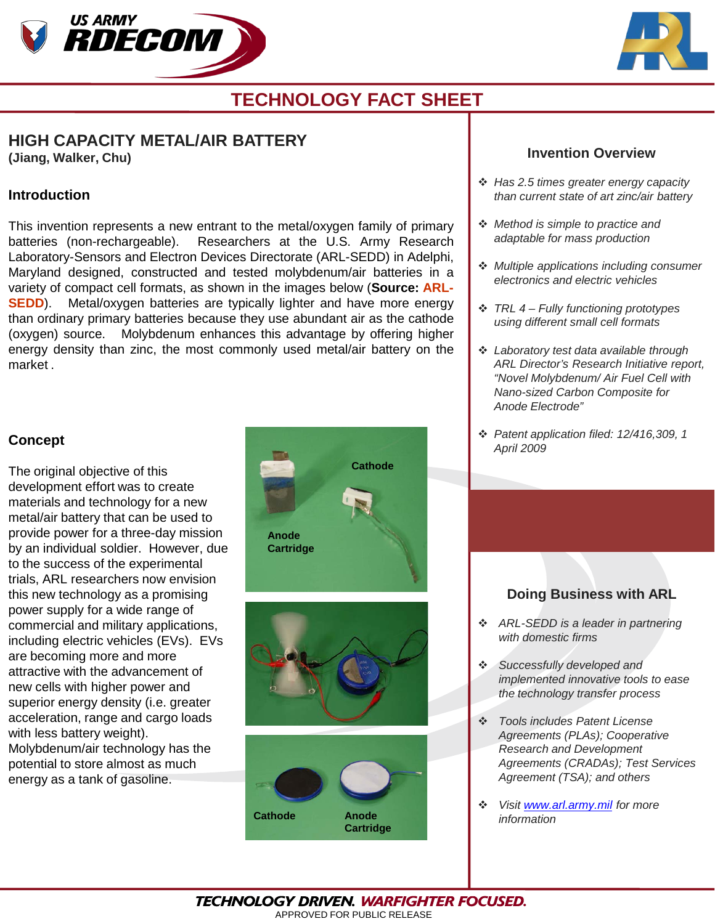



# **TECHNOLOGY FACT SHEET**

### **HIGH CAPACITY METAL/AIR BATTERY (Jiang, Walker, Chu)**

**Introduction**

This invention represents a new entrant to the metal/oxygen family of primary batteries (non-rechargeable). Researchers at the U.S. Army Research Laboratory-Sensors and Electron Devices Directorate (ARL-SEDD) in Adelphi, Maryland designed, constructed and tested molybdenum/air batteries in a variety of compact cell formats, as shown in the images below (**Source: ARL-SEDD**). Metal/oxygen batteries are typically lighter and have more energy than ordinary primary batteries because they use abundant air as the cathode (oxygen) source. Molybdenum enhances this advantage by offering higher energy density than zinc, the most commonly used metal/air battery on the market .

### **Concept**

The original objective of this development effort was to create materials and technology for a new metal/air battery that can be used to provide power for a three-day mission by an individual soldier. However, due to the success of the experimental trials, ARL researchers now envision this new technology as a promising power supply for a wide range of commercial and military applications, including electric vehicles (EVs). EVs are becoming more and more attractive with the advancement of new cells with higher power and superior energy density (i.e. greater acceleration, range and cargo loads with less battery weight). Molybdenum/air technology has the potential to store almost as much energy as a tank of gasoline.



#### **Invention Overview**

- *Has 2.5 times greater energy capacity than current state of art zinc/air battery*
- *Method is simple to practice and adaptable for mass production*
- *Multiple applications including consumer electronics and electric vehicles*
- *TRL 4 – Fully functioning prototypes using different small cell formats*
- *Laboratory test data available through ARL Director's Research Initiative report, "Novel Molybdenum/ Air Fuel Cell with Nano-sized Carbon Composite for Anode Electrode"*
- *Patent application filed: 12/416,309, 1 April 2009*

## **Doing Business with ARL**

- *ARL-SEDD is a leader in partnering with domestic firms*
- *Successfully developed and implemented innovative tools to ease the technology transfer process*
- *Tools includes Patent License Agreements (PLAs); Cooperative Research and Development Agreements (CRADAs); Test Services Agreement (TSA); and others*
- *Visit [www.arl.army.mil](http://www.arl.army.mil/) for more information*

**TECHNOLOGY DRIVEN. WARFIGHTER FOCUSED.** APPROVED FOR PUBLIC RELEASE